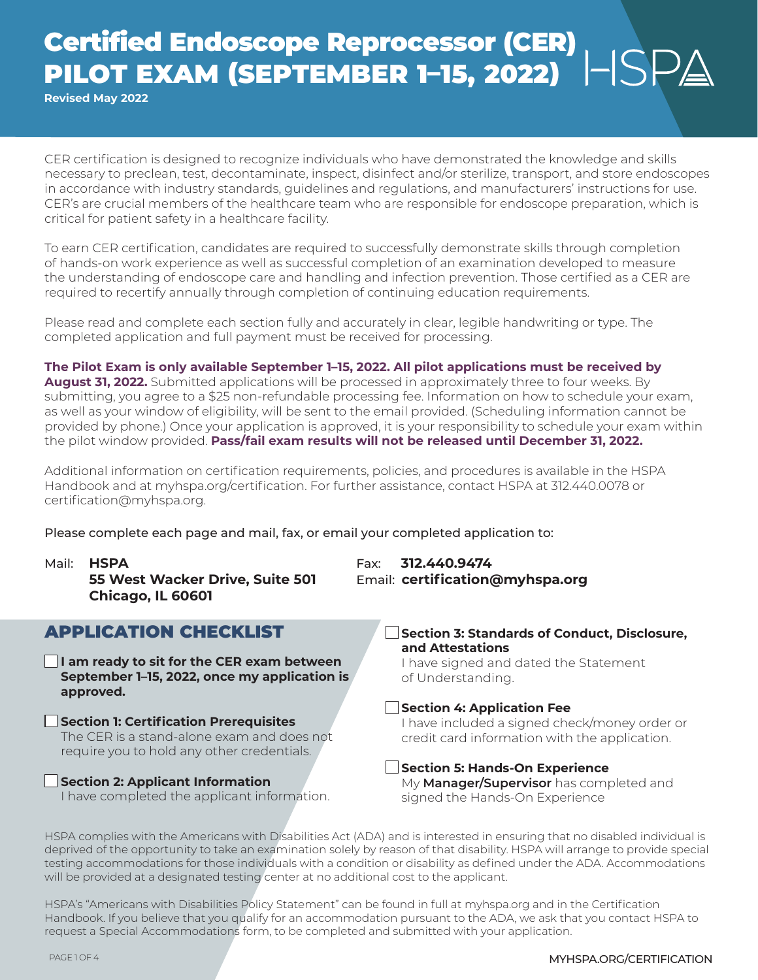## Certified Endoscope Reprocessor (CER) PILOT EXAM (SEPTEMBER 1–15, 2022)

**Revised May 2022**

CER certification is designed to recognize individuals who have demonstrated the knowledge and skills necessary to preclean, test, decontaminate, inspect, disinfect and/or sterilize, transport, and store endoscopes in accordance with industry standards, guidelines and regulations, and manufacturers' instructions for use. CER's are crucial members of the healthcare team who are responsible for endoscope preparation, which is critical for patient safety in a healthcare facility.

To earn CER certification, candidates are required to successfully demonstrate skills through completion of hands-on work experience as well as successful completion of an examination developed to measure the understanding of endoscope care and handling and infection prevention. Those certified as a CER are required to recertify annually through completion of continuing education requirements.

Please read and complete each section fully and accurately in clear, legible handwriting or type. The completed application and full payment must be received for processing.

**The Pilot Exam is only available September 1–15, 2022. All pilot applications must be received by August 31, 2022.** Submitted applications will be processed in approximately three to four weeks. By submitting, you agree to a \$25 non-refundable processing fee. Information on how to schedule your exam, as well as your window of eligibility, will be sent to the email provided. (Scheduling information cannot be provided by phone.) Once your application is approved, it is your responsibility to schedule your exam within the pilot window provided. **Pass/fail exam results will not be released until December 31, 2022.**

Additional information on certification requirements, policies, and procedures is available in the HSPA Handbook and at myhspa.org/certification. For further assistance, contact HSPA at 312.440.0078 or certification@myhspa.org.

Please complete each page and mail, fax, or email your completed application to:

Mail: **HSPA** Fax: **312.440.9474 55 West Wacker Drive, Suite 501** Email: **certification@myhspa.org Chicago, IL 60601**

## APPLICATION CHECKLIST

**I am ready to sit for the CER exam between September 1–15, 2022, once my application is approved.**

**Section 1: Certification Prerequisites** The CER is a stand-alone exam and does not require you to hold any other credentials.

#### **Section 2: Applicant Information**

I have completed the applicant information.

**Section 3: Standards of Conduct, Disclosure, and Attestations** I have signed and dated the Statement

of Understanding.

#### **Section 4: Application Fee**

I have included a signed check/money order or credit card information with the application.

#### **Section 5: Hands-On Experience** My **Manager/Supervisor** has completed and signed the Hands-On Experience

HSPA complies with the Americans with Disabilities Act (ADA) and is interested in ensuring that no disabled individual is deprived of the opportunity to take an examination solely by reason of that disability. HSPA will arrange to provide special testing accommodations for those individuals with a condition or disability as defined under the ADA. Accommodations will be provided at a designated testing center at no additional cost to the applicant.

HSPA's "Americans with Disabilities Policy Statement" can be found in full at myhspa.org and in the Certification Handbook. If you believe that you qualify for an accommodation pursuant to the ADA, we ask that you contact HSPA to request a Special Accommodations form, to be completed and submitted with your application.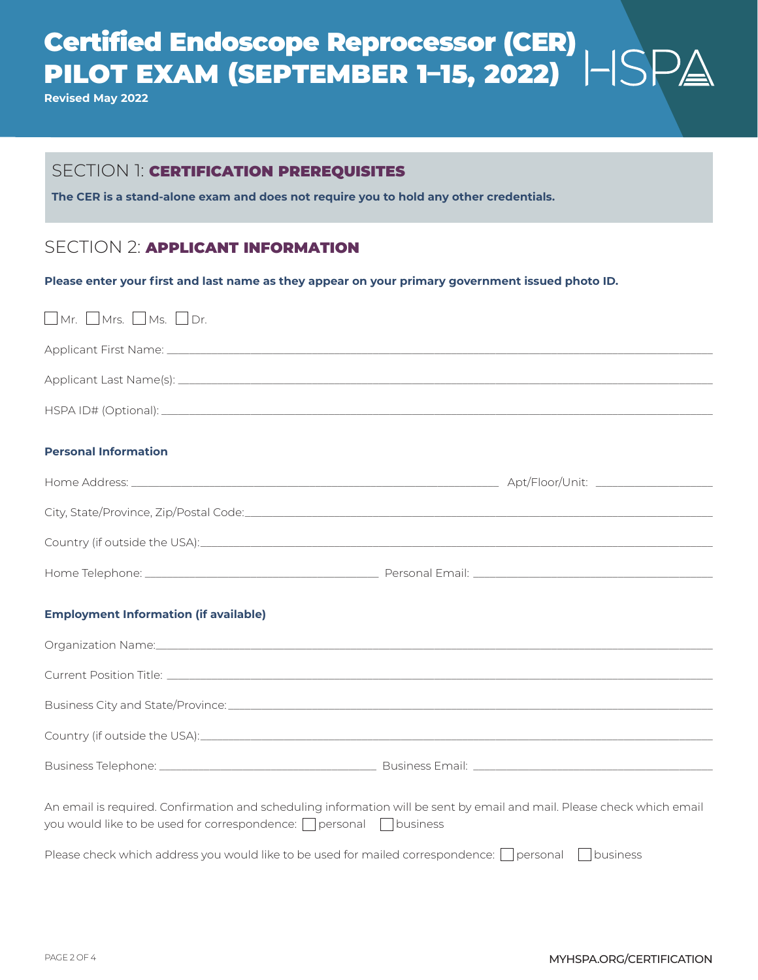## Certified Endoscope Reprocessor (CER) PILOT EXAM (SEPTEMBER 1–15, 2022)

**Revised May 2022**

### SECTION 1: **CERTIFICATION PREREQUISITES**

**The CER is a stand-alone exam and does not require you to hold any other credentials.**

## SECTION 2: **APPLICANT INFORMATION**

**Please enter your first and last name as they appear on your primary government issued photo ID.**

| $\Box$ Mr. $\Box$ Mrs. $\Box$ Ms. $\Box$ Dr.                                                                                                                                                     |  |  |
|--------------------------------------------------------------------------------------------------------------------------------------------------------------------------------------------------|--|--|
|                                                                                                                                                                                                  |  |  |
|                                                                                                                                                                                                  |  |  |
|                                                                                                                                                                                                  |  |  |
| <b>Personal Information</b>                                                                                                                                                                      |  |  |
|                                                                                                                                                                                                  |  |  |
|                                                                                                                                                                                                  |  |  |
|                                                                                                                                                                                                  |  |  |
|                                                                                                                                                                                                  |  |  |
| <b>Employment Information (if available)</b>                                                                                                                                                     |  |  |
| Organization Name: 1988 and 2008 and 2008 and 2008 and 2010 and 2010 and 2010 and 2010 and 2010 and 2010 and 20                                                                                  |  |  |
|                                                                                                                                                                                                  |  |  |
|                                                                                                                                                                                                  |  |  |
|                                                                                                                                                                                                  |  |  |
|                                                                                                                                                                                                  |  |  |
| An email is required. Confirmation and scheduling information will be sent by email and mail. Please check which email<br>you would like to be used for correspondence: <u>personal</u> pusiness |  |  |
| Please check which address you would like to be used for mailed correspondence: $\Box$ personal $\Box$ business                                                                                  |  |  |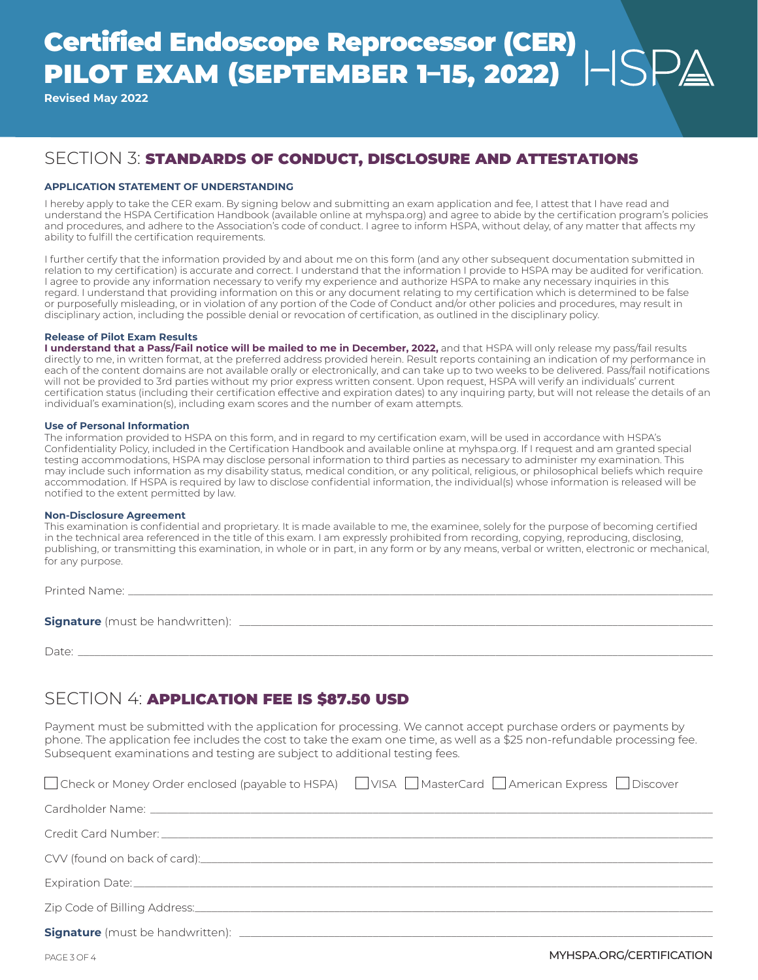## Certified Endoscope Reprocessor (CER) PILOT EXAM (SEPTEMBER 1–15, 2022)

**Revised May 2022**

## SECTION 3: STANDARDS OF CONDUCT, DISCLOSURE AND ATTESTATIONS

#### **APPLICATION STATEMENT OF UNDERSTANDING**

I hereby apply to take the CER exam. By signing below and submitting an exam application and fee, I attest that I have read and understand the HSPA Certification Handbook (available online at myhspa.org) and agree to abide by the certification program's policies and procedures, and adhere to the Association's code of conduct. I agree to inform HSPA, without delay, of any matter that affects my ability to fulfill the certification requirements.

I further certify that the information provided by and about me on this form (and any other subsequent documentation submitted in relation to my certification) is accurate and correct. I understand that the information I provide to HSPA may be audited for verification. I agree to provide any information necessary to verify my experience and authorize HSPA to make any necessary inquiries in this regard. I understand that providing information on this or any document relating to my certification which is determined to be false or purposefully misleading, or in violation of any portion of the Code of Conduct and/or other policies and procedures, may result in disciplinary action, including the possible denial or revocation of certification, as outlined in the disciplinary policy.

#### **Release of Pilot Exam Results**

**I understand that a Pass/Fail notice will be mailed to me in December, 2022,** and that HSPA will only release my pass/fail results directly to me, in written format, at the preferred address provided herein. Result reports containing an indication of my performance in each of the content domains are not available orally or electronically, and can take up to two weeks to be delivered. Pass/fail notifications will not be provided to 3rd parties without my prior express written consent. Upon request, HSPA will verify an individuals' current certification status (including their certification effective and expiration dates) to any inquiring party, but will not release the details of an individual's examination(s), including exam scores and the number of exam attempts.

#### **Use of Personal Information**

The information provided to HSPA on this form, and in regard to my certification exam, will be used in accordance with HSPA's Confidentiality Policy, included in the Certification Handbook and available online at myhspa.org. If I request and am granted special testing accommodations, HSPA may disclose personal information to third parties as necessary to administer my examination. This may include such information as my disability status, medical condition, or any political, religious, or philosophical beliefs which require accommodation. If HSPA is required by law to disclose confidential information, the individual(s) whose information is released will be notified to the extent permitted by law.

#### **Non-Disclosure Agreement**

This examination is confidential and proprietary. It is made available to me, the examinee, solely for the purpose of becoming certified in the technical area referenced in the title of this exam. I am expressly prohibited from recording, copying, reproducing, disclosing, publishing, or transmitting this examination, in whole or in part, in any form or by any means, verbal or written, electronic or mechanical, for any purpose.

Printed Name: **Signature** (must be handwritten): \_\_\_\_\_\_\_\_\_\_\_\_\_\_\_\_\_\_\_\_\_\_\_\_\_\_\_\_\_\_\_\_\_\_\_\_\_\_\_\_\_\_\_\_\_\_\_\_\_\_\_\_\_\_\_\_\_\_\_\_\_\_\_\_\_\_\_\_\_\_\_\_\_\_\_\_\_\_\_\_\_\_\_\_\_

Date: \_\_\_\_\_\_\_\_\_\_\_\_\_\_\_\_\_\_\_\_\_\_\_\_\_\_\_\_\_\_\_\_\_\_\_\_\_\_\_\_\_\_\_\_\_\_\_\_\_\_\_\_\_\_\_\_\_\_\_\_\_\_\_\_\_\_\_\_\_\_\_\_\_\_\_\_\_\_\_\_\_\_\_\_\_\_\_\_\_\_\_\_\_\_\_\_\_\_\_\_\_\_\_\_\_\_\_\_\_\_\_\_\_\_

### SECTION 4: APPLICATION FEE IS \$87.50 USD

Payment must be submitted with the application for processing. We cannot accept purchase orders or payments by phone. The application fee includes the cost to take the exam one time, as well as a \$25 non-refundable processing fee. Subsequent examinations and testing are subject to additional testing fees.

| □ Check or Money Order enclosed (payable to HSPA) □ VISA □ MasterCard □ American Express □ Discover |
|-----------------------------------------------------------------------------------------------------|
|                                                                                                     |
|                                                                                                     |
|                                                                                                     |
|                                                                                                     |
|                                                                                                     |
|                                                                                                     |